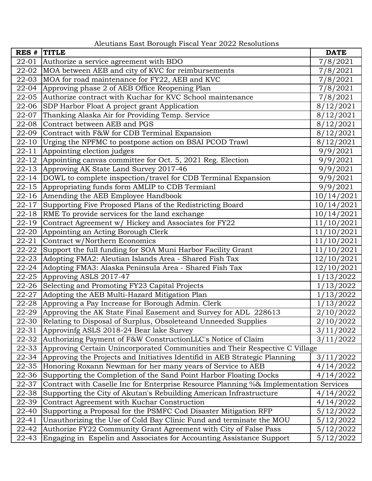## Aleutians East Borough Fiscal Year 2022 Resolutions

| RES #     | <b>TITLE</b>                                                                          | <b>DATE</b> |
|-----------|---------------------------------------------------------------------------------------|-------------|
| 22-01     | Authorize a service agreement with BDO                                                | 7/8/2021    |
| 22-02     | MOA between AEB and city of KVC for reimbursements                                    | 7/8/2021    |
| 22-03     | MOA for road maintenance for FY22, AEB and KVC                                        | 7/8/2021    |
| 22-04     | Approving phase 2 of AEB Office Reopening Plan                                        | 7/8/2021    |
| 22-05     | Authorize contract with Kuchar for KVC School maintenance                             | 7/8/2021    |
| 22-06     | SDP Harbor Float A project grant Application                                          | 8/12/2021   |
| 22-07     | Thanking Alaska Air for Providing Temp. Service                                       | 8/12/2021   |
| 22-08     | Contract between AEB and PGS                                                          | 8/12/2021   |
| 22-09     | Contract with F&W for CDB Terminal Expansion                                          | 8/12/2021   |
| $22 - 10$ | Urging the NPFMC to postpone action on BSAI PCOD Trawl                                | 8/12/2021   |
| $22 - 11$ | Appointing election judges                                                            | 9/9/2021    |
| 22-12     | Appointing canvas committee for Oct. 5, 2021 Reg. Election                            | 9/9/2021    |
| $22 - 13$ | Approving AK State Land Survey 2017-46                                                | 9/9/2021    |
| $22 - 14$ | DOWL to complete inspection/travel for CDB Terminal Expansion                         | 9/9/2021    |
| $22 - 15$ | Appropriating funds form AMLIP to CDB Termianl                                        | 9/9/2021    |
| $22 - 16$ | Amending the AEB Employee Handbook                                                    | 10/14/2021  |
| $22 - 17$ | Supporting Five Proposed Plans of the Redistricting Board                             | 10/14/2021  |
| $22 - 18$ | RME To provide services for the land exchange                                         | 10/14/2021  |
| $22 - 19$ | Contract Agreement w/ Hickey and Associates for FY22                                  | 11/10/2021  |
| 22-20     | Appointing an Acting Borough Clerk                                                    | 11/10/2021  |
| $22 - 21$ | Contract w/Northern Economics                                                         | 11/10/2021  |
| 22-22     | Support the full funding for SOA Muni Harbor Facility Grant                           | 11/10/2021  |
| 22-23     | Adopting FMA2: Aleutian Islands Area - Shared Fish Tax                                | 12/10/2021  |
| $22 - 24$ | Adopting FMA3: Alaska Peninsula Area - Shared Fish Tax                                | 12/10/2021  |
| 22-25     | Approving ASLS 2017-47                                                                | 1/13/2022   |
| 22-26     | Selecting and Promoting FY23 Capital Projects                                         | 1/13/2022   |
| $22 - 27$ | Adopting the AEB Multi-Hazard Mitigation Plan                                         | 1/13/2022   |
| 22-28     | Approving a Pay Increase for Borough Admin. Clerk                                     | 1/13/2022   |
| 22-29     | Approving the AK State Final Easement and Survey for ADL 228613                       | 2/10/2022   |
|           | 22-30 Relating to Disposal of Surplus, Obsoleteand Unneeded Supplies                  | 2/10/2022   |
| 22-31     | Approvinfg ASLS 2018-24 Bear lake Survey                                              | 3/11/2022   |
| 22-32     | Authorizing Payment of F&W ConstructionLLC's Notice of Claim                          | 3/11/2022   |
| 22-33     | Approving Certain Unincorporated Communities and Their Respective C Village           |             |
| 22-34     | Approving the Projects and Initiatives Identifid in AEB Strategic Planning            | 3/11/2022   |
| 22-35     | Honoring Roxann Newman for her many years of Service to AEB                           | 4/14/2022   |
| 22-36     | Supporting the Completion of the Sand Point Harbor Floating Docks                     | 4/14/2022   |
| 22-37     | Contract with Caselle Inc for Enterprise Resource Planning %& Implementation Services |             |
| 22-38     | Supporting the City of Akutan's Rebuilding American Infrastructure                    | 4/14/2022   |
| 22-39     | Contract Agreement with Kuchar Construction                                           | 4/14/2022   |
| 22-40     | Supporting a Proposal for the PSMFC Cod Disaster Mitigation RFP                       | 5/12/2022   |
| 22-41     | Unauthorizing the Use of Cold Bay Clinic Fund and terminate the MOU                   | 5/12/2022   |
| 22-42     | Authorize FY22 Community Grant Agreement with City of False Pass                      | 5/12/2022   |
| 22-43     | Engaging in Espelin and Associates for Accounting Assistance Support                  | 5/12/2022   |